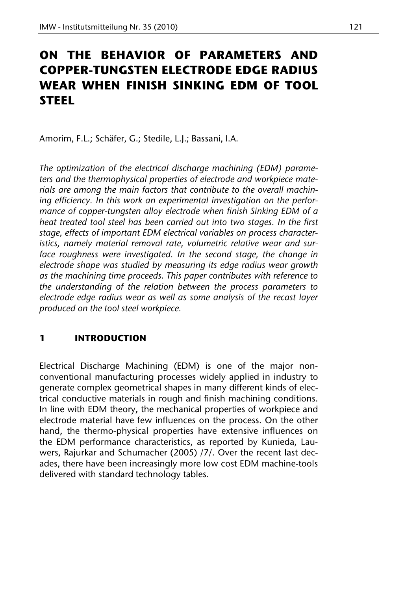# **ON THE BEHAVIOR OF PARAMETERS AND COPPER-TUNGSTEN ELECTRODE EDGE RADIUS WEAR WHEN FINISH SINKING EDM OF TOOL STEEL**

Amorim, F.L.; Schäfer, G.; Stedile, L.J.; Bassani, I.A.

*The optimization of the electrical discharge machining (EDM) parameters and the thermophysical properties of electrode and workpiece materials are among the main factors that contribute to the overall machining efficiency. In this work an experimental investigation on the performance of copper-tungsten alloy electrode when finish Sinking EDM of a heat treated tool steel has been carried out into two stages. In the first stage, effects of important EDM electrical variables on process characteristics, namely material removal rate, volumetric relative wear and surface roughness were investigated. In the second stage, the change in electrode shape was studied by measuring its edge radius wear growth as the machining time proceeds. This paper contributes with reference to the understanding of the relation between the process parameters to electrode edge radius wear as well as some analysis of the recast layer produced on the tool steel workpiece.* 

# **1 INTRODUCTION**

Electrical Discharge Machining (EDM) is one of the major nonconventional manufacturing processes widely applied in industry to generate complex geometrical shapes in many different kinds of electrical conductive materials in rough and finish machining conditions. In line with EDM theory, the mechanical properties of workpiece and electrode material have few influences on the process. On the other hand, the thermo-physical properties have extensive influences on the EDM performance characteristics, as reported by Kunieda, Lauwers, Rajurkar and Schumacher (2005) /7/. Over the recent last decades, there have been increasingly more low cost EDM machine-tools delivered with standard technology tables.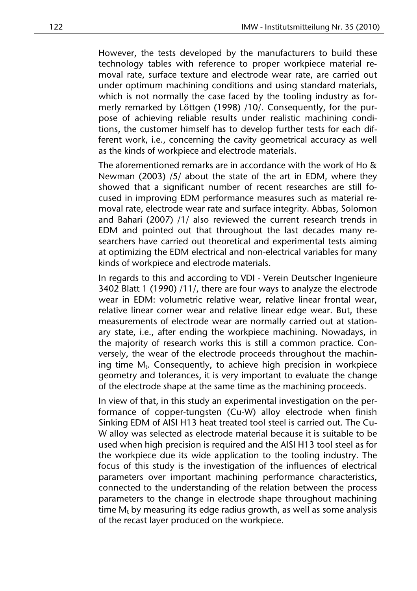However, the tests developed by the manufacturers to build these technology tables with reference to proper workpiece material removal rate, surface texture and electrode wear rate, are carried out under optimum machining conditions and using standard materials, which is not normally the case faced by the tooling industry as formerly remarked by Löttgen (1998) /10/. Consequently, for the purpose of achieving reliable results under realistic machining conditions, the customer himself has to develop further tests for each different work, i.e., concerning the cavity geometrical accuracy as well as the kinds of workpiece and electrode materials.

The aforementioned remarks are in accordance with the work of Ho & Newman (2003) /5/ about the state of the art in EDM, where they showed that a significant number of recent researches are still focused in improving EDM performance measures such as material removal rate, electrode wear rate and surface integrity. Abbas, Solomon and Bahari (2007) /1/ also reviewed the current research trends in EDM and pointed out that throughout the last decades many researchers have carried out theoretical and experimental tests aiming at optimizing the EDM electrical and non-electrical variables for many kinds of workpiece and electrode materials.

In regards to this and according to VDI - Verein Deutscher Ingenieure 3402 Blatt 1 (1990) /11/, there are four ways to analyze the electrode wear in EDM: volumetric relative wear, relative linear frontal wear, relative linear corner wear and relative linear edge wear. But, these measurements of electrode wear are normally carried out at stationary state, i.e., after ending the workpiece machining. Nowadays, in the majority of research works this is still a common practice. Conversely, the wear of the electrode proceeds throughout the machining time M<sub>t</sub>. Consequently, to achieve high precision in workpiece geometry and tolerances, it is very important to evaluate the change of the electrode shape at the same time as the machining proceeds.

In view of that, in this study an experimental investigation on the performance of copper-tungsten (Cu-W) alloy electrode when finish Sinking EDM of AISI H13 heat treated tool steel is carried out. The Cu-W alloy was selected as electrode material because it is suitable to be used when high precision is required and the AISI H13 tool steel as for the workpiece due its wide application to the tooling industry. The focus of this study is the investigation of the influences of electrical parameters over important machining performance characteristics, connected to the understanding of the relation between the process parameters to the change in electrode shape throughout machining time  $M_t$  by measuring its edge radius growth, as well as some analysis of the recast layer produced on the workpiece.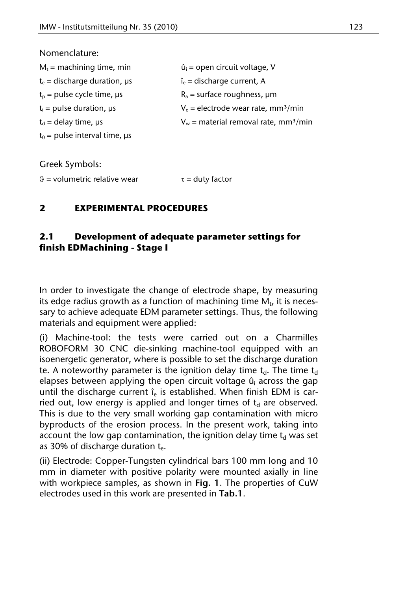#### Nomenclature:

| $M_t$ = machining time, min          | $\hat{u}_i$ = open circuit voltage, V               |
|--------------------------------------|-----------------------------------------------------|
| $t_e$ = discharge duration, $\mu s$  | $\hat{\mathbf{I}}_{\rm e}$ = discharge current, A   |
| $t_{p}$ = pulse cycle time, $\mu s$  | $R_a$ = surface roughness, $\mu$ m                  |
| $t_i$ = pulse duration, $\mu s$      | $V_e$ = electrode wear rate, mm <sup>3</sup> /min   |
| $t_d$ = delay time, $\mu s$          | $V_w$ = material removal rate, mm <sup>3</sup> /min |
| $t_0$ = pulse interval time, $\mu s$ |                                                     |

Greek Symbols:

 $\theta$  = volumetric relative wear  $\tau$  = duty factor

# **2 EXPERIMENTAL PROCEDURES**

# **2.1 Development of adequate parameter settings for finish EDMachining - Stage I**

In order to investigate the change of electrode shape, by measuring its edge radius growth as a function of machining time  $M_t$ , it is necessary to achieve adequate EDM parameter settings. Thus, the following materials and equipment were applied:

(i) Machine-tool: the tests were carried out on a Charmilles ROBOFORM 30 CNC die-sinking machine-tool equipped with an isoenergetic generator, where is possible to set the discharge duration te. A noteworthy parameter is the ignition delay time  $t_d$ . The time  $t_d$ elapses between applying the open circuit voltage û<sub>i</sub> across the gap until the discharge current  $\hat{i}_e$  is established. When finish EDM is carried out, low energy is applied and longer times of  $t<sub>d</sub>$  are observed. This is due to the very small working gap contamination with micro byproducts of the erosion process. In the present work, taking into account the low gap contamination, the ignition delay time  $t_d$  was set as 30% of discharge duration t...

(ii) Electrode: Copper-Tungsten cylindrical bars 100 mm long and 10 mm in diameter with positive polarity were mounted axially in line with workpiece samples, as shown in **Fig. 1**. The properties of CuW electrodes used in this work are presented in **Tab.1**.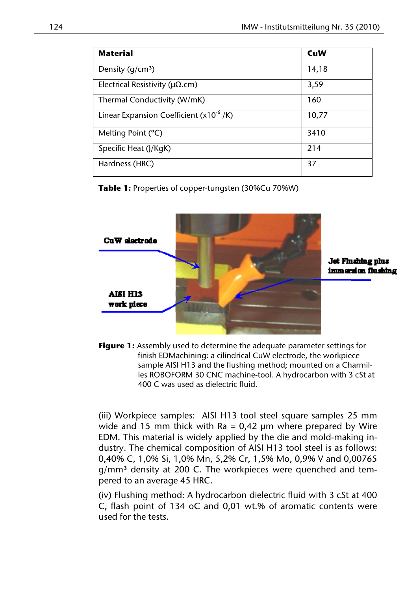| <b>Material</b>                               | CuW   |
|-----------------------------------------------|-------|
| Density $(q/cm3)$                             | 14,18 |
| Electrical Resistivity ( $\mu\Omega$ .cm)     | 3,59  |
| Thermal Conductivity (W/mK)                   | 160   |
| Linear Expansion Coefficient ( $x10^{-6}$ /K) | 10,77 |
| Melting Point (°C)                            | 3410  |
| Specific Heat (J/KgK)                         | 214   |
| Hardness (HRC)                                | 37    |

**Table 1:** Properties of copper-tungsten (30%Cu 70%W)



Jet Flushing plus immersion flushing

**Figure 1:** Assembly used to determine the adequate parameter settings for finish EDMachining: a cilindrical CuW electrode, the workpiece sample AISI H13 and the flushing method; mounted on a Charmilles ROBOFORM 30 CNC machine-tool. A hydrocarbon with 3 cSt at 400 C was used as dielectric fluid.

(iii) Workpiece samples: AISI H13 tool steel square samples 25 mm wide and 15 mm thick with  $Ra = 0.42 \mu m$  where prepared by Wire EDM. This material is widely applied by the die and mold-making industry. The chemical composition of AISI H13 tool steel is as follows: 0,40% C, 1,0% Si, 1,0% Mn, 5,2% Cr, 1,5% Mo, 0,9% V and 0,00765 g/mm<sup>3</sup> density at 200 C. The workpieces were quenched and tempered to an average 45 HRC.

(iv) Flushing method: A hydrocarbon dielectric fluid with 3 cSt at 400 C, flash point of 134 oC and 0,01 wt.% of aromatic contents were used for the tests.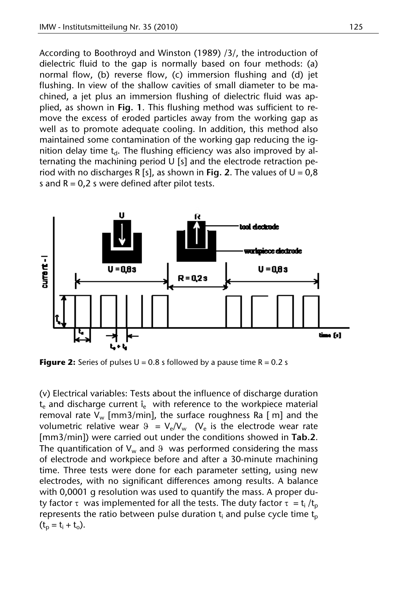According to Boothroyd and Winston (1989) /3/, the introduction of dielectric fluid to the gap is normally based on four methods: (a) normal flow, (b) reverse flow, (c) immersion flushing and (d) jet flushing. In view of the shallow cavities of small diameter to be machined, a jet plus an immersion flushing of dielectric fluid was applied, as shown in **Fig. 1**. This flushing method was sufficient to remove the excess of eroded particles away from the working gap as well as to promote adequate cooling. In addition, this method also maintained some contamination of the working gap reducing the ignition delay time  $t<sub>d</sub>$ . The flushing efficiency was also improved by alternating the machining period U [s] and the electrode retraction period with no discharges R [s], as shown in **Fig. 2**. The values of  $U = 0.8$ s and  $R = 0.2$  s were defined after pilot tests.



**Figure 2:** Series of pulses  $U = 0.8$  s followed by a pause time  $R = 0.2$  s

(v) Electrical variables: Tests about the influence of discharge duration  $t_{e}$  and discharge current  $\hat{i}_{e}$  with reference to the workpiece material removal rate  $V_w$  [mm3/min], the surface roughness Ra [ m] and the volumetric relative wear  $\theta = V_e/V_w$  (V<sub>e</sub> is the electrode wear rate [mm3/min]) were carried out under the conditions showed in **Tab.2**. The quantification of  $V_w$  and  $\theta$  was performed considering the mass of electrode and workpiece before and after a 30-minute machining time. Three tests were done for each parameter setting, using new electrodes, with no significant differences among results. A balance with 0,0001 g resolution was used to quantify the mass. A proper duty factor  $\tau$  was implemented for all the tests. The duty factor  $\tau = t_i / t_p$ represents the ratio between pulse duration  $t_i$  and pulse cycle time  $t_p$  $(t_p = t_i + t_o).$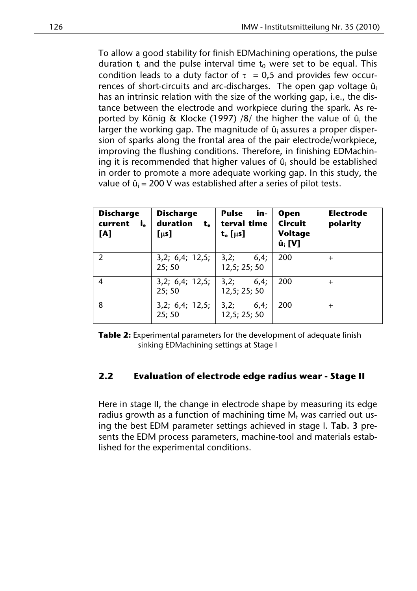To allow a good stability for finish EDMachining operations, the pulse duration  $t_i$  and the pulse interval time  $t_0$  were set to be equal. This condition leads to a duty factor of  $\tau = 0.5$  and provides few occurrences of short-circuits and arc-discharges. The open gap voltage  $\hat{u}_i$ has an intrinsic relation with the size of the working gap, i.e., the distance between the electrode and workpiece during the spark. As reported by König & Klocke (1997) /8/ the higher the value of û<sub>i</sub> the larger the working gap. The magnitude of  $\hat{\bm{{\mathsf{u}}}}_{\text{i}}$  assures a proper dispersion of sparks along the frontal area of the pair electrode/workpiece, improving the flushing conditions. Therefore, in finishing EDMachining it is recommended that higher values of  $\hat{u}_i$  should be established in order to promote a more adequate working gap. In this study, the value of  $\hat{u}_i$  = 200 V was established after a series of pilot tests.

| <b>Discharge</b><br>current<br>i.<br>[A] | <b>Discharge</b><br>duration<br>t.<br>[µs] | <b>Pulse</b><br>in-<br>terval time<br>$t_o$ [ $\mu$ s] | <b>Open</b><br><b>Circuit</b><br>Voltage<br>$\hat{\mathbf{u}}_i$ [V] | <b>Electrode</b><br>polarity |
|------------------------------------------|--------------------------------------------|--------------------------------------------------------|----------------------------------------------------------------------|------------------------------|
| $\mathcal{P}$                            | 3,2; 6,4; 12,5;   3,2;<br>25:50            | 6,4;<br>12.5: 25: 50                                   | 200                                                                  | $^{+}$                       |
| $\overline{4}$                           | 3,2; 6,4; 12,5;   3,2;<br>25:50            | 6,4;<br>12,5; 25; 50                                   | 200                                                                  | $^{+}$                       |
| 8                                        | 3,2; 6,4; 12,5;   3,2;<br>25; 50           | 6,4;<br>12,5; 25; 50                                   | 200                                                                  | $^{+}$                       |

**Table 2:** Experimental parameters for the development of adequate finish sinking EDMachining settings at Stage I

# **2.2 Evaluation of electrode edge radius wear - Stage II**

Here in stage II, the change in electrode shape by measuring its edge radius growth as a function of machining time  $M_t$  was carried out using the best EDM parameter settings achieved in stage I. **Tab. 3** presents the EDM process parameters, machine-tool and materials established for the experimental conditions.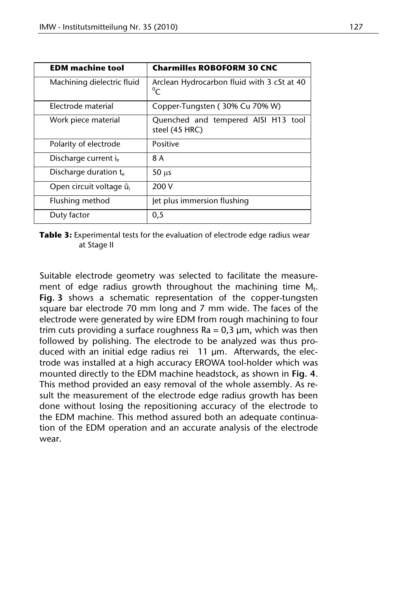| <b>EDM</b> machine tool             | <b>Charmilles ROBOFORM 30 CNC</b>                         |  |
|-------------------------------------|-----------------------------------------------------------|--|
| Machining dielectric fluid          | Arclean Hydrocarbon fluid with 3 cSt at 40<br>$\rm ^{0}C$ |  |
| Electrode material                  | Copper-Tungsten (30% Cu 70% W)                            |  |
| Work piece material                 | Quenched and tempered AISI H13 tool<br>steel (45 HRC)     |  |
| Polarity of electrode               | Positive                                                  |  |
| Discharge current ie                | 8 A                                                       |  |
| Discharge duration t.               | $50 \mu s$                                                |  |
| Open circuit voltage û <sub>i</sub> | 200 V                                                     |  |
| Flushing method                     | Jet plus immersion flushing                               |  |
| Duty factor                         | 0,5                                                       |  |

**Table 3:** Experimental tests for the evaluation of electrode edge radius wear at Stage II

Suitable electrode geometry was selected to facilitate the measurement of edge radius growth throughout the machining time  $M_t$ . **Fig. 3** shows a schematic representation of the copper-tungsten square bar electrode 70 mm long and 7 mm wide. The faces of the electrode were generated by wire EDM from rough machining to four trim cuts providing a surface roughness  $Ra = 0.3 \mu m$ , which was then followed by polishing. The electrode to be analyzed was thus produced with an initial edge radius rei 11 μm. Afterwards, the electrode was installed at a high accuracy EROWA tool-holder which was mounted directly to the EDM machine headstock, as shown in **Fig. 4**. This method provided an easy removal of the whole assembly. As result the measurement of the electrode edge radius growth has been done without losing the repositioning accuracy of the electrode to the EDM machine. This method assured both an adequate continuation of the EDM operation and an accurate analysis of the electrode wear.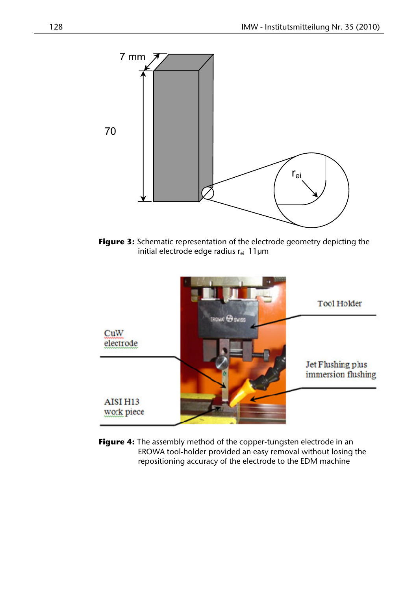

**Figure 3:** Schematic representation of the electrode geometry depicting the initial electrode edge radius  $r_{ei}$  11 $\mu$ m



**Figure 4:** The assembly method of the copper-tungsten electrode in an EROWA tool-holder provided an easy removal without losing the repositioning accuracy of the electrode to the EDM machine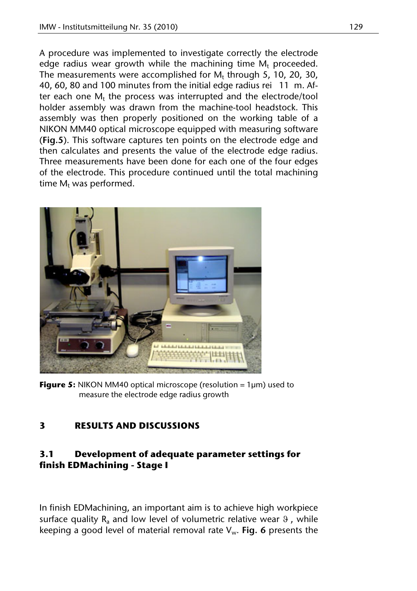A procedure was implemented to investigate correctly the electrode edge radius wear growth while the machining time  $M_t$  proceeded. The measurements were accomplished for  $M_t$  through 5, 10, 20, 30, 40, 60, 80 and 100 minutes from the initial edge radius rei 11 m. After each one  $M_t$  the process was interrupted and the electrode/tool holder assembly was drawn from the machine-tool headstock. This assembly was then properly positioned on the working table of a NIKON MM40 optical microscope equipped with measuring software (**Fig.5**). This software captures ten points on the electrode edge and then calculates and presents the value of the electrode edge radius. Three measurements have been done for each one of the four edges of the electrode. This procedure continued until the total machining time  $M_t$  was performed.



**Figure 5:** NIKON MM40 optical microscope (resolution = 1µm) used to measure the electrode edge radius growth

# **3 RESULTS AND DISCUSSIONS**

# **3.1 Development of adequate parameter settings for finish EDMachining - Stage I**

In finish EDMachining, an important aim is to achieve high workpiece surface quality  $R_a$  and low level of volumetric relative wear  $9$ , while keeping a good level of material removal rate Vw. **Fig. 6** presents the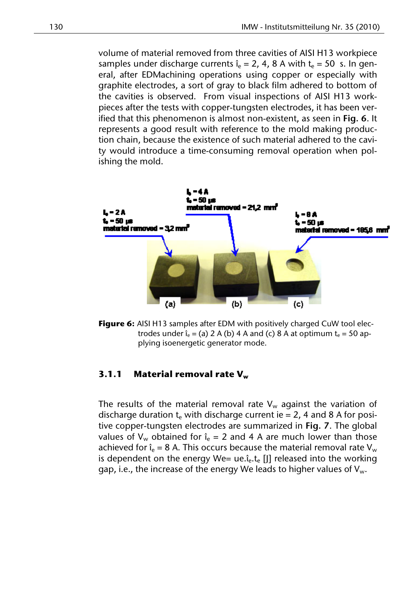volume of material removed from three cavities of AISI H13 workpiece samples under discharge currents  $\hat{i}_e = 2$ , 4, 8 A with  $t_e = 50$  s. In general, after EDMachining operations using copper or especially with graphite electrodes, a sort of gray to black film adhered to bottom of the cavities is observed. From visual inspections of AISI H13 workpieces after the tests with copper-tungsten electrodes, it has been verified that this phenomenon is almost non-existent, as seen in **Fig. 6**. It represents a good result with reference to the mold making production chain, because the existence of such material adhered to the cavity would introduce a time-consuming removal operation when polishing the mold.



**Figure 6:** AISI H13 samples after EDM with positively charged CuW tool electrodes under  $\hat{i}_e = (a) 2 A (b) 4 A$  and (c) 8 A at optimum  $t_e = 50$  applying isoenergetic generator mode.

#### **3.1.1** Material removal rate V<sub>w</sub>

The results of the material removal rate  $V_w$  against the variation of discharge duration  $t_e$  with discharge current ie = 2, 4 and 8 A for positive copper-tungsten electrodes are summarized in **Fig. 7**. The global values of  $V_w$  obtained for  $\hat{i}_e = 2$  and 4 A are much lower than those achieved for  $\hat{i}_e = 8$  A. This occurs because the material removal rate V<sub>w</sub> is dependent on the energy We= ue. $i_{e}$ ,  $t_{e}$  [I] released into the working gap, i.e., the increase of the energy We leads to higher values of  $V_w$ .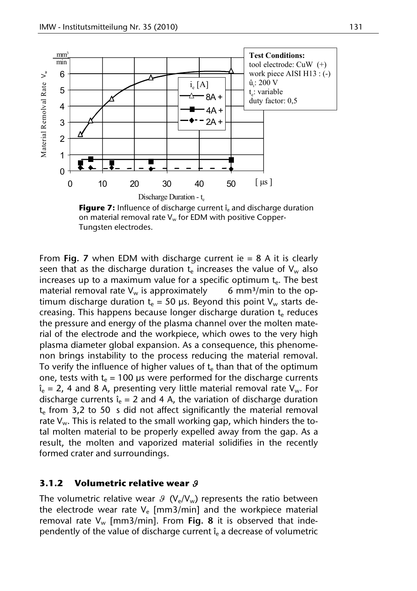

**Figure 7:** Influence of discharge current  $\hat{i}_e$  and discharge duration on material removal rate  $V_w$  for EDM with positive Copper-Tungsten electrodes.

From **Fig. 7** when EDM with discharge current ie = 8 A it is clearly seen that as the discharge duration  $t_e$  increases the value of  $V_w$  also increases up to a maximum value for a specific optimum  $t_{e}$ . The best material removal rate  $V_w$  is approximately 6 mm<sup>3</sup>/min to the optimum discharge duration  $t_e = 50$  μs. Beyond this point V<sub>w</sub> starts decreasing. This happens because longer discharge duration  $t_{e}$  reduces the pressure and energy of the plasma channel over the molten material of the electrode and the workpiece, which owes to the very high plasma diameter global expansion. As a consequence, this phenomenon brings instability to the process reducing the material removal. To verify the influence of higher values of  $t<sub>e</sub>$  than that of the optimum one, tests with  $t_e = 100$  μs were performed for the discharge currents  $\hat{i}_e = 2$ , 4 and 8 A, presenting very little material removal rate  $V_w$ . For discharge currents  $\hat{i}_e = 2$  and 4 A, the variation of discharge duration  $t_{e}$  from 3,2 to 50 s did not affect significantly the material removal rate  $V_w$ . This is related to the small working gap, which hinders the total molten material to be properly expelled away from the gap. As a result, the molten and vaporized material solidifies in the recently formed crater and surroundings.

#### **3.1.2 Volumetric relative wear**

The volumetric relative wear  $\mathcal{G}(V_e/V_w)$  represents the ratio between the electrode wear rate  $V_e$  [mm3/min] and the workpiece material removal rate  $V_w$  [mm3/min]. From **Fig. 8** it is observed that independently of the value of discharge current  $\hat{i}_e$  a decrease of volumetric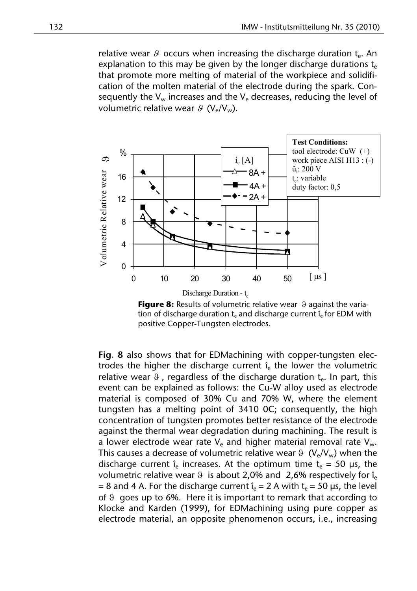relative wear  $\theta$  occurs when increasing the discharge duration  $t_{e}$ . An explanation to this may be given by the longer discharge durations  $t_{e}$ that promote more melting of material of the workpiece and solidification of the molten material of the electrode during the spark. Consequently the  $V_w$  increases and the  $V_e$  decreases, reducing the level of volumetric relative wear  $\mathcal{G}(V_{\alpha}/V_{\alpha})$ .



**Figure 8:** Results of volumetric relative wear 9 against the variation of discharge duration  $t_e$  and discharge current  $\hat{i}_e$  for EDM with positive Copper-Tungsten electrodes.

**Fig. 8** also shows that for EDMachining with copper-tungsten electrodes the higher the discharge current  $\hat{i}_e$  the lower the volumetric relative wear  $\overline{9}$ , regardless of the discharge duration  $t_{e}$ . In part, this event can be explained as follows: the Cu-W alloy used as electrode material is composed of 30% Cu and 70% W, where the element tungsten has a melting point of 3410 0C; consequently, the high concentration of tungsten promotes better resistance of the electrode against the thermal wear degradation during machining. The result is a lower electrode wear rate  $V_e$  and higher material removal rate  $V_w$ . This causes a decrease of volumetric relative wear  $9 \ (V_e/V_w)$  when the discharge current  $\hat{i}_e$  increases. At the optimum time  $t_e = 50 \mu s$ , the volumetric relative wear  $\theta$  is about 2,0% and 2,6% respectively for  $\hat{i}_e$ = 8 and 4 A. For the discharge current  $\hat{i}_e = 2$  A with  $t_e = 50$  µs, the level of  $\theta$  goes up to 6%. Here it is important to remark that according to Klocke and Karden (1999), for EDMachining using pure copper as electrode material, an opposite phenomenon occurs, i.e., increasing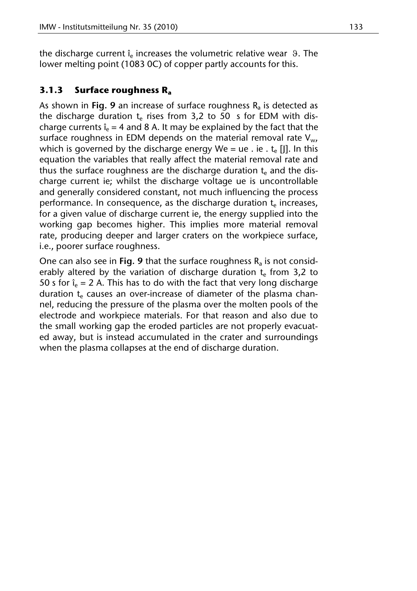the discharge current  $\hat{i}_e$  increases the volumetric relative wear  $\theta$ . The lower melting point (1083 0C) of copper partly accounts for this.

# **3.1.3 Surface roughness Ra**

As shown in **Fig. 9** an increase of surface roughness  $R_a$  is detected as the discharge duration  $t_e$  rises from 3,2 to 50 s for EDM with discharge currents  $\hat{i}_e = 4$  and 8 A. It may be explained by the fact that the surface roughness in EDM depends on the material removal rate  $V_{w}$ , which is governed by the discharge energy We = ue . ie .  $t_e$  [I]. In this equation the variables that really affect the material removal rate and thus the surface roughness are the discharge duration  $t<sub>e</sub>$  and the discharge current ie; whilst the discharge voltage ue is uncontrollable and generally considered constant, not much influencing the process performance. In consequence, as the discharge duration  $t_e$  increases, for a given value of discharge current ie, the energy supplied into the working gap becomes higher. This implies more material removal rate, producing deeper and larger craters on the workpiece surface, i.e., poorer surface roughness.

One can also see in **Fig. 9** that the surface roughness  $R_a$  is not considerably altered by the variation of discharge duration  $t_{\rm e}$  from 3,2 to 50 s for  $\hat{i}_e = 2$  A. This has to do with the fact that very long discharge duration  $t<sub>e</sub>$  causes an over-increase of diameter of the plasma channel, reducing the pressure of the plasma over the molten pools of the electrode and workpiece materials. For that reason and also due to the small working gap the eroded particles are not properly evacuated away, but is instead accumulated in the crater and surroundings when the plasma collapses at the end of discharge duration.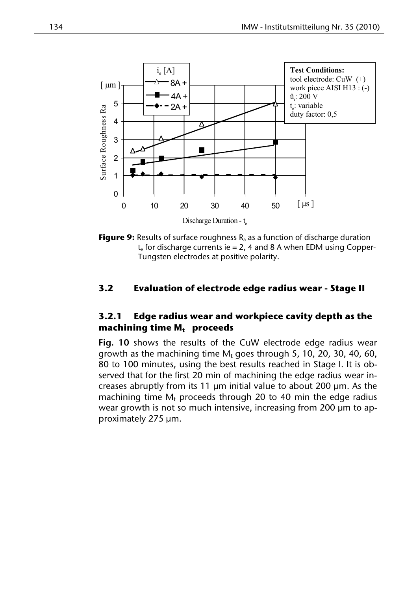

**Figure 9:** Results of surface roughness R<sub>a</sub> as a function of discharge duration  $t_{e}$  for discharge currents ie = 2, 4 and 8 A when EDM using Copper-Tungsten electrodes at positive polarity.

## **3.2 Evaluation of electrode edge radius wear - Stage II**

# **3.2.1 Edge radius wear and workpiece cavity depth as the**  machining time M<sub>t</sub> proceeds

**Fig. 10** shows the results of the CuW electrode edge radius wear growth as the machining time  $M_t$  goes through 5, 10, 20, 30, 40, 60, 80 to 100 minutes, using the best results reached in Stage I. It is observed that for the first 20 min of machining the edge radius wear increases abruptly from its 11 μm initial value to about 200 μm. As the machining time  $M_t$  proceeds through 20 to 40 min the edge radius wear growth is not so much intensive, increasing from 200 μm to approximately 275 μm.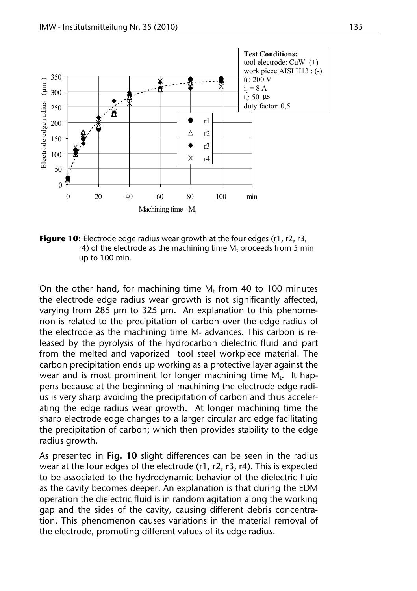

**Figure 10:** Electrode edge radius wear growth at the four edges (r1, r2, r3, r4) of the electrode as the machining time  $M_t$  proceeds from 5 min up to 100 min.

On the other hand, for machining time  $M_t$  from 40 to 100 minutes the electrode edge radius wear growth is not significantly affected, varying from 285 μm to 325 μm. An explanation to this phenomenon is related to the precipitation of carbon over the edge radius of the electrode as the machining time  $M_t$  advances. This carbon is released by the pyrolysis of the hydrocarbon dielectric fluid and part from the melted and vaporized tool steel workpiece material. The carbon precipitation ends up working as a protective layer against the wear and is most prominent for longer machining time  $M_t$ . It happens because at the beginning of machining the electrode edge radius is very sharp avoiding the precipitation of carbon and thus accelerating the edge radius wear growth. At longer machining time the sharp electrode edge changes to a larger circular arc edge facilitating the precipitation of carbon; which then provides stability to the edge radius growth.

As presented in **Fig. 10** slight differences can be seen in the radius wear at the four edges of the electrode (r1, r2, r3, r4). This is expected to be associated to the hydrodynamic behavior of the dielectric fluid as the cavity becomes deeper. An explanation is that during the EDM operation the dielectric fluid is in random agitation along the working gap and the sides of the cavity, causing different debris concentration. This phenomenon causes variations in the material removal of the electrode, promoting different values of its edge radius.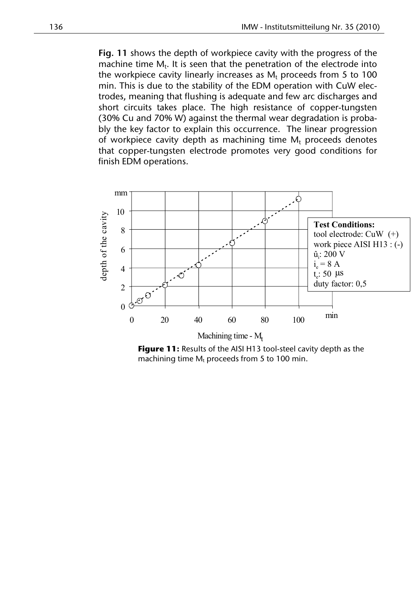**Fig. 11** shows the depth of workpiece cavity with the progress of the machine time  $M_t$ . It is seen that the penetration of the electrode into the workpiece cavity linearly increases as  $M_t$  proceeds from 5 to 100 min. This is due to the stability of the EDM operation with CuW electrodes, meaning that flushing is adequate and few arc discharges and short circuits takes place. The high resistance of copper-tungsten (30% Cu and 70% W) against the thermal wear degradation is probably the key factor to explain this occurrence. The linear progression of workpiece cavity depth as machining time  $M_t$  proceeds denotes that copper-tungsten electrode promotes very good conditions for finish EDM operations.



**Figure 11:** Results of the AISI H13 tool-steel cavity depth as the machining time  $M_t$  proceeds from 5 to 100 min.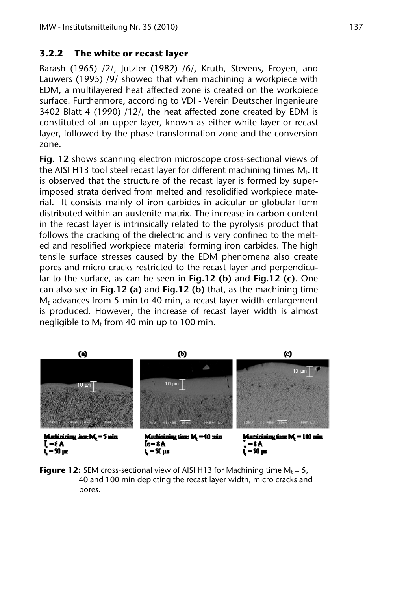## **3.2.2 The white or recast layer**

Barash (1965) /2/, Jutzler (1982) /6/, Kruth, Stevens, Froyen, and Lauwers (1995) /9/ showed that when machining a workpiece with EDM, a multilayered heat affected zone is created on the workpiece surface. Furthermore, according to VDI - Verein Deutscher Ingenieure 3402 Blatt 4 (1990) /12/, the heat affected zone created by EDM is constituted of an upper layer, known as either white layer or recast layer, followed by the phase transformation zone and the conversion zone.

**Fig. 12** shows scanning electron microscope cross-sectional views of the AISI H13 tool steel recast layer for different machining times  $M_t$ . It is observed that the structure of the recast layer is formed by superimposed strata derived from melted and resolidified workpiece material. It consists mainly of iron carbides in acicular or globular form distributed within an austenite matrix. The increase in carbon content in the recast layer is intrinsically related to the pyrolysis product that follows the cracking of the dielectric and is very confined to the melted and resolified workpiece material forming iron carbides. The high tensile surface stresses caused by the EDM phenomena also create pores and micro cracks restricted to the recast layer and perpendicular to the surface, as can be seen in **Fig.12 (b)** and **Fig.12 (c)**. One can also see in **Fig.12 (a)** and **Fig.12 (b)** that, as the machining time  $M_t$  advances from 5 min to 40 min, a recast layer width enlargement is produced. However, the increase of recast layer width is almost negligible to  $M_t$  from 40 min up to 100 min.



**Figure 12:** SEM cross-sectional view of AISI H13 for Machining time  $M_t = 5$ , 40 and 100 min depicting the recast layer width, micro cracks and pores.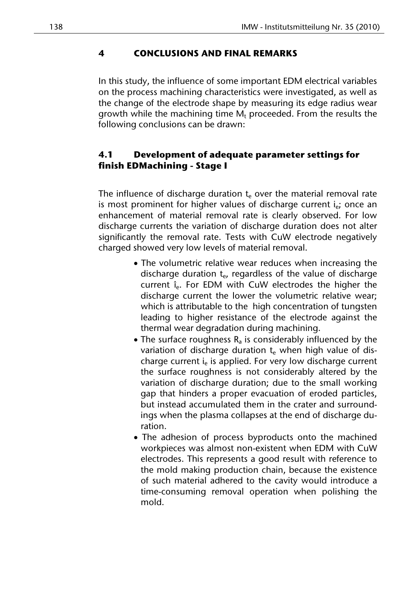# **4 CONCLUSIONS AND FINAL REMARKS**

In this study, the influence of some important EDM electrical variables on the process machining characteristics were investigated, as well as the change of the electrode shape by measuring its edge radius wear growth while the machining time  $M_t$  proceeded. From the results the following conclusions can be drawn:

# **4.1 Development of adequate parameter settings for finish EDMachining - Stage I**

The influence of discharge duration  $t_{\text{e}}$  over the material removal rate is most prominent for higher values of discharge current  $i_{e}$ ; once an enhancement of material removal rate is clearly observed. For low discharge currents the variation of discharge duration does not alter significantly the removal rate. Tests with CuW electrode negatively charged showed very low levels of material removal.

- The volumetric relative wear reduces when increasing the discharge duration  $t_{e}$ , regardless of the value of discharge current  $\hat{i}_e$ . For EDM with CuW electrodes the higher the discharge current the lower the volumetric relative wear; which is attributable to the high concentration of tungsten leading to higher resistance of the electrode against the thermal wear degradation during machining.
- The surface roughness  $R_a$  is considerably influenced by the variation of discharge duration  $t_{e}$  when high value of discharge current  $i_e$  is applied. For very low discharge current the surface roughness is not considerably altered by the variation of discharge duration; due to the small working gap that hinders a proper evacuation of eroded particles, but instead accumulated them in the crater and surroundings when the plasma collapses at the end of discharge duration.
- The adhesion of process byproducts onto the machined workpieces was almost non-existent when EDM with CuW electrodes. This represents a good result with reference to the mold making production chain, because the existence of such material adhered to the cavity would introduce a time-consuming removal operation when polishing the mold.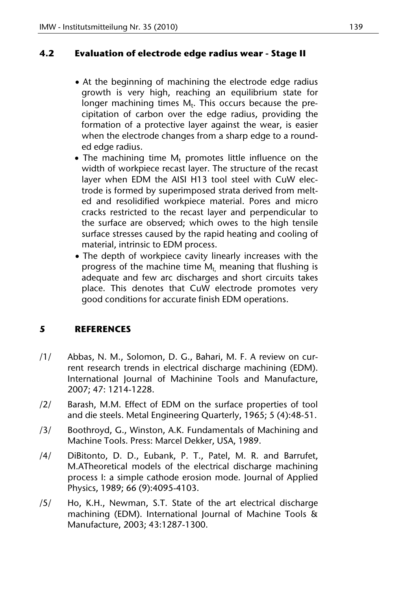# **4.2 Evaluation of electrode edge radius wear - Stage II**

- At the beginning of machining the electrode edge radius growth is very high, reaching an equilibrium state for  $\frac{1}{2}$  longer machining times M<sub>t</sub>. This occurs because the precipitation of carbon over the edge radius, providing the formation of a protective layer against the wear, is easier when the electrode changes from a sharp edge to a rounded edge radius.
- $\bullet$  The machining time  $M_t$  promotes little influence on the width of workpiece recast layer. The structure of the recast layer when EDM the AISI H13 tool steel with CuW electrode is formed by superimposed strata derived from melted and resolidified workpiece material. Pores and micro cracks restricted to the recast layer and perpendicular to the surface are observed; which owes to the high tensile surface stresses caused by the rapid heating and cooling of material, intrinsic to EDM process.
- The depth of workpiece cavity linearly increases with the progress of the machine time  $M_t$ , meaning that flushing is adequate and few arc discharges and short circuits takes place. This denotes that CuW electrode promotes very good conditions for accurate finish EDM operations.

# **5 REFERENCES**

- /1/ Abbas, N. M., Solomon, D. G., Bahari, M. F. A review on current research trends in electrical discharge machining (EDM). International Journal of Machinine Tools and Manufacture, 2007; 47: 1214-1228.
- /2/ Barash, M.M. Effect of EDM on the surface properties of tool and die steels. Metal Engineering Quarterly, 1965; 5 (4):48-51.
- /3/ Boothroyd, G., Winston, A.K. Fundamentals of Machining and Machine Tools. Press: Marcel Dekker, USA, 1989.
- /4/ DiBitonto, D. D., Eubank, P. T., Patel, M. R. and Barrufet, M.ATheoretical models of the electrical discharge machining process I: a simple cathode erosion mode. Journal of Applied Physics, 1989; 66 (9):4095-4103.
- /5/ Ho, K.H., Newman, S.T. State of the art electrical discharge machining (EDM). International Journal of Machine Tools & Manufacture, 2003; 43:1287-1300.